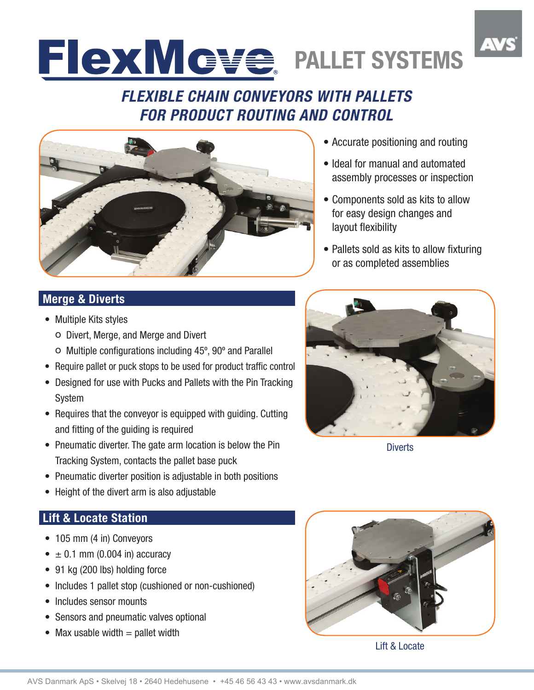# FIexMcVe PALLET SYSTEMS

## **FLEXIBLE CHAIN CONVEYORS WITH PALLETS FOR PRODUCT ROUTING AND CONTROL**



- Accurate positioning and routing
- Ideal for manual and automated assembly processes or inspection
- Components sold as kits to allow for easy design changes and layout flexibility
- Pallets sold as kits to allow fixturing or as completed assemblies

#### **Merge & Diverts**

- Multiple Kits styles
	- o Divert, Merge, and Merge and Divert
	- o Multiple configurations including 45º, 90º and Parallel
- Require pallet or puck stops to be used for product traffic control
- Designed for use with Pucks and Pallets with the Pin Tracking System
- Requires that the conveyor is equipped with guiding. Cutting and fitting of the guiding is required
- Pneumatic diverter. The gate arm location is below the Pin Tracking System, contacts the pallet base puck
- Pneumatic diverter position is adjustable in both positions
- Height of the divert arm is also adjustable

### **Lift & Locate Station**

- 105 mm (4 in) Conveyors
- $\bullet$   $\pm$  0.1 mm (0.004 in) accuracy
- 91 kg (200 lbs) holding force
- Includes 1 pallet stop (cushioned or non-cushioned)
- Includes sensor mounts
- Sensors and pneumatic valves optional
- Max usable width  $=$  pallet width



**Diverts** 



Lift & Locate